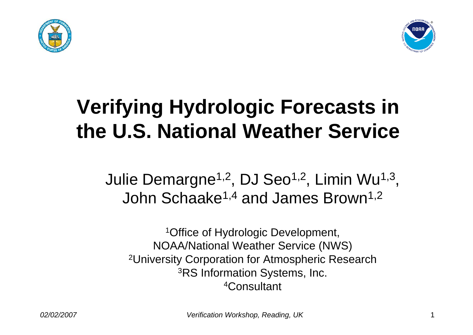



# **Verifying Hydrologic Forecasts in the U.S. National Weather Service**

Julie Demargne1,2, DJ Seo1,2, Limin Wu1,3, John Schaake1,4 and James Brown1,2

1Office of Hydrologic Development, NOAA/National Weather Service (NWS) 2University Corporation for Atmospheric Research 3RS Information Systems, Inc. 4Consultant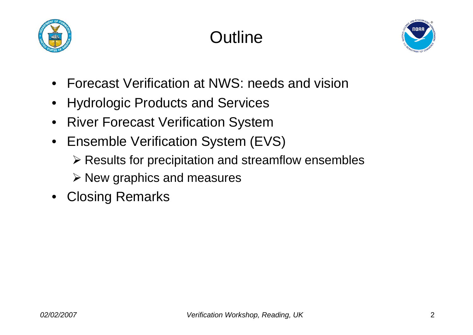

#### **Outline**



- $\bullet$ Forecast Verification at NWS: needs and vision
- •Hydrologic Products and Services
- $\bullet$ River Forecast Verification System
- $\bullet$  Ensemble Verification System (EVS)
	- $\triangleright$  Results for precipitation and streamflow ensembles
	- $\triangleright$  New graphics and measures
- $\bullet$ Closing Remarks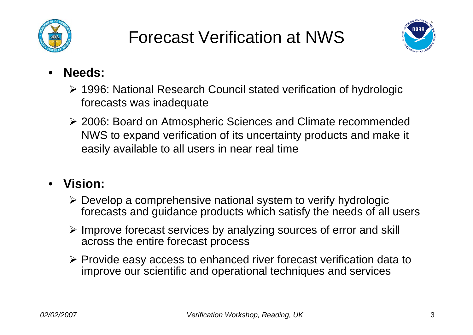



- • **Needs:**
	- ¾ 1996: National Research Council stated verification of hydrologic forecasts was inadequate
	- ¾ 2006: Board on Atmospheric Sciences and Climate recommended NWS to expand verification of its uncertainty products and make it easily available to all users in near real time

#### •**Vision:**

- ¾ Develop a comprehensive national system to verify hydrologic forecasts and guidance products which satisfy the needs of all users
- ¾ Improve forecast services by analyzing sources of error and skill across the entire forecast process
- ¾ Provide easy access to enhanced river forecast verification data to improve our scientific and operational techniques and services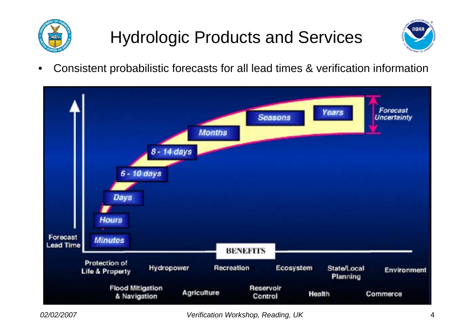

## Hydrologic Products and Services



•Consistent probabilistic forecasts for all lead times & verification information

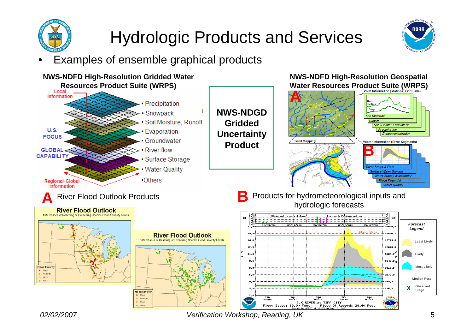

## Hydrologic Products and Services



#### •Examples of ensemble graphical products

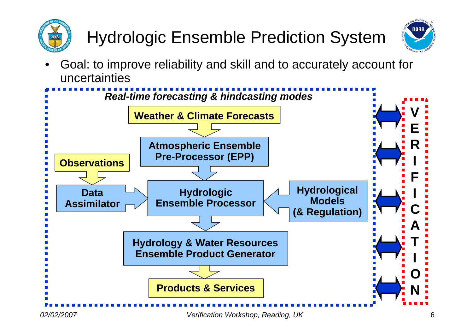

## Hydrologic Ensemble Prediction System



• Goal: to improve reliability and skill and to accurately account for uncertainties

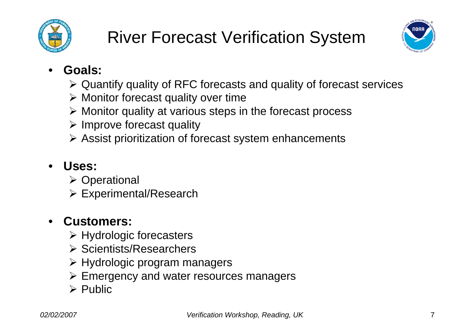



#### •**Goals:**

- ¾ Quantify quality of RFC forecasts and quality of forecast services
- $\triangleright$  Monitor forecast quality over time
- ¾ Monitor quality at various steps in the forecast process
- $\triangleright$  Improve forecast quality
- ¾ Assist prioritization of forecast system enhancements

#### •**Uses:**

- ¾ Operational
- ¾ Experimental/Research

#### •**Customers:**

- $\triangleright$  Hydrologic forecasters
- ¾ Scientists/Researchers
- $\triangleright$  Hydrologic program managers
- ¾ Emergency and water resources managers
- $\triangleright$  Public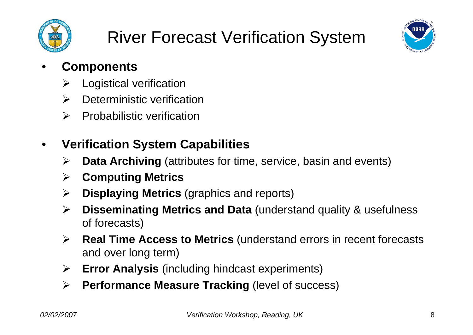

#### River Forecast Verification System



#### •**Components**

- ¾Logistical verification
- $\blacktriangleright$ Deterministic verification
- $\blacktriangleright$ Probabilistic verification

#### •**Verification System Capabilities**

- $\blacktriangleright$ **Data Archiving** (attributes for time, service, basin and events)
- $\blacktriangleright$ **Computing Metrics**
- $\blacktriangleright$ **Displaying Metrics** (graphics and reports)
- ¾ **Disseminating Metrics and Data** (understand quality & usefulness of forecasts)
- $\blacktriangleright$  **Real Time Access to Metrics** (understand errors in recent forecasts and over long term)
- $\blacktriangleright$ **Error Analysis** (including hindcast experiments)
- ¾**Performance Measure Tracking** (level of success)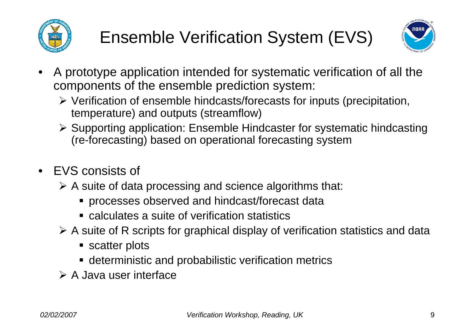



- • A prototype application intended for systematic verification of all the components of the ensemble prediction system:
	- ¾ Verification of ensemble hindcasts/forecasts for inputs (precipitation, temperature) and outputs (streamflow)
	- ¾ Supporting application: Ensemble Hindcaster for systematic hindcasting (re-forecasting) based on operational forecasting system
- • EVS consists of
	- $\triangleright$  A suite of data processing and science algorithms that:
		- processes observed and hindcast/forecast data
		- calculates a suite of verification statistics
	- $\triangleright$  A suite of R scripts for graphical display of verification statistics and data
		- scatter plots
		- deterministic and probabilistic verification metrics
	- $\triangleright$  A Java user interface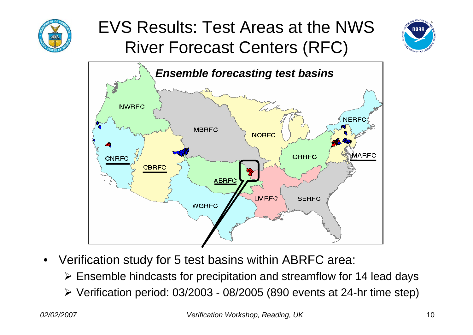

#### EVS Results: Test Areas at the NWS River Forecast Centers (RFC)





- • Verification study for 5 test basins within ABRFC area:
	- $\triangleright$  Ensemble hindcasts for precipitation and streamflow for 14 lead days
	- $\triangleright$  Verification period: 03/2003 08/2005 (890 events at 24-hr time step)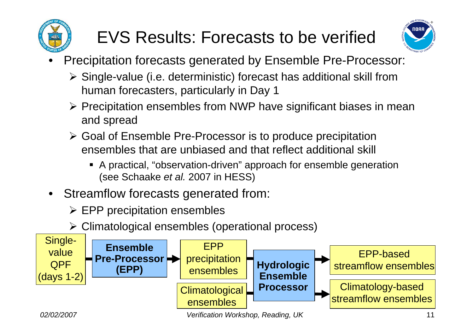

## EVS Results: Forecasts to be verified



- • Precipitation forecasts generated by Ensemble Pre-Processor:
	- ¾ Single-value (i.e. deterministic) forecast has additional skill from human forecasters, particularly in Day 1
	- ¾ Precipitation ensembles from NWP have significant biases in mean and spread
	- ¾ Goal of Ensemble Pre-Processor is to produce precipitation ensembles that are unbiased and that reflect additional skill
		- A practical, "observation-driven" approach for ensemble generation (see Schaake *et al.* 2007 in HESS)
- Streamflow forecasts generated from:
	- $\triangleright$  EPP precipitation ensembles
	- ¾ Climatological ensembles (operational process)

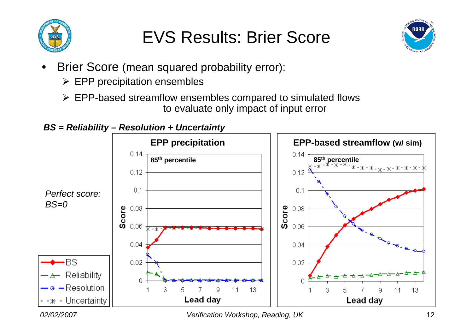

#### EVS Results: Brier Score



- • Brier Score (mean squared probability error):
	- $\triangleright$  EPP precipitation ensembles
	- $\triangleright$  EPP-based streamflow ensembles compared to simulated flows to evaluate only impact of input error

#### *BS = Reliability – Resolution + Uncertainty*

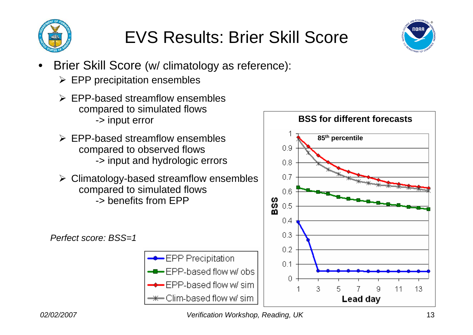

### EVS Results: Brier Skill Score

- • Brier Skill Score (w/ climatology as reference):
	- $\triangleright$  EPP precipitation ensembles
	- $\triangleright$  EPP-based streamflow ensembles compared to simulated flows -> input error
	- $\triangleright$  EPP-based streamflow ensembles compared to observed flows -> input and hydrologic errors
	- $\triangleright$  Climatology-based streamflow ensembles compared to simulated flows -> benefits from EPP









*Perfect score: BSS=1*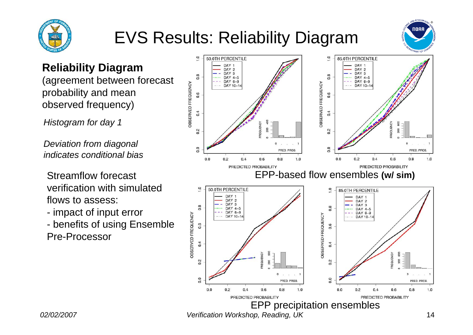

### EVS Results: Reliability Diagram



#### **Reliability Diagram**

(agreement between forecast probability and mean observed frequency)

*Histogram for day 1*

*Deviation from diagonal indicates conditional bias*

verification with simulated flows to assess:

- impact of input error

- benefits of using Ensemble Pre-Processor

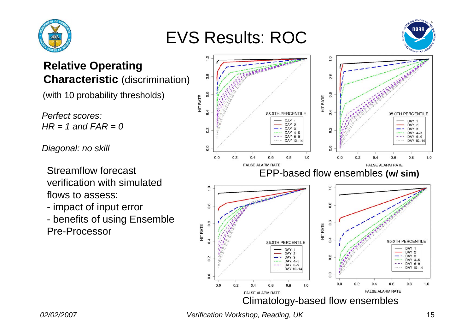

### EVS Results: ROC



#### **Relative Operating Characteristic** (discrimination)

(with 10 probability thresholds)

*Perfect scores: HR = 1 and FAR = 0*

*Diagonal: no skill* 

- verification with simulated flows to assess:
- impact of input error
- benefits of using Ensemble Pre-Processor

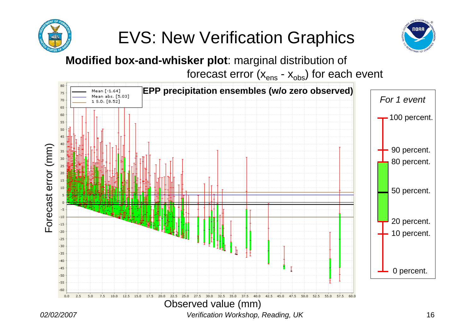

### EVS: New Verification Graphics



#### **Modified box-and-whisker plot**: marginal distribution of



*02/02/2007 Verification Workshop, Reading, UK* 16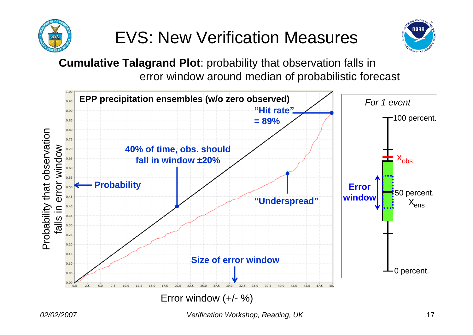

### EVS: New Verification Measures



**Cumulative Talagrand Plot**: probability that observation falls in error window around median of probabilistic forecast



Error window (+/- %)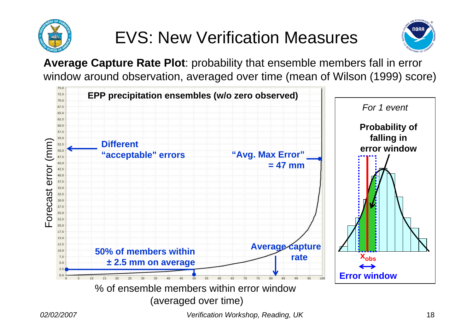

### EVS: New Verification Measures



**Average Capture Rate Plot**: probability that ensemble members fall in error window around observation, averaged over time (mean of Wilson (1999) score)

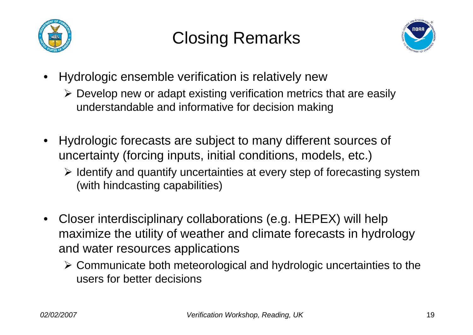

### Closing Remarks



- • Hydrologic ensemble verification is relatively new
	- $\triangleright$  Develop new or adapt existing verification metrics that are easily understandable and informative for decision making
- • Hydrologic forecasts are subject to many different sources of uncertainty (forcing inputs, initial conditions, models, etc.)
	- ¾ Identify and quantify uncertainties at every step of forecasting system (with hindcasting capabilities)
- • Closer interdisciplinary collaborations (e.g. HEPEX) will help maximize the utility of weather and climate forecasts in hydrology and water resources applications
	- ¾ Communicate both meteorological and hydrologic uncertainties to the users for better decisions